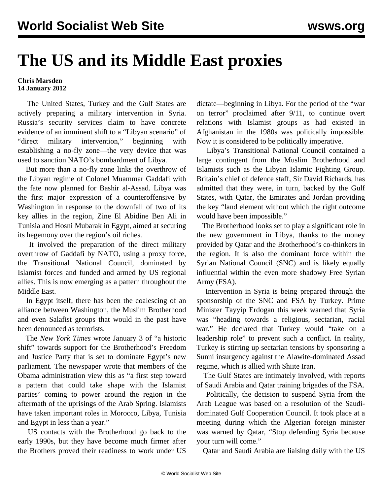## **The US and its Middle East proxies**

## **Chris Marsden 14 January 2012**

 The United States, Turkey and the Gulf States are actively preparing a military intervention in Syria. Russia's security services claim to have concrete evidence of an imminent shift to a "Libyan scenario" of "direct military intervention," beginning with establishing a no-fly zone—the very device that was used to sanction NATO's bombardment of Libya.

 But more than a no-fly zone links the overthrow of the Libyan regime of Colonel Muammar Gaddafi with the fate now planned for Bashir al-Assad. Libya was the first major expression of a counteroffensive by Washington in response to the downfall of two of its key allies in the region, Zine El Abidine Ben Ali in Tunisia and Hosni Mubarak in Egypt, aimed at securing its hegemony over the region's oil riches.

 It involved the preparation of the direct military overthrow of Gaddafi by NATO, using a proxy force, the Transitional National Council, dominated by Islamist forces and funded and armed by US regional allies. This is now emerging as a pattern throughout the Middle East.

 In Egypt itself, there has been the coalescing of an alliance between Washington, the Muslim Brotherhood and even Salafist groups that would in the past have been denounced as terrorists.

 The *New York Times* wrote January 3 of "a historic shift" towards support for the Brotherhood's Freedom and Justice Party that is set to dominate Egypt's new parliament. The newspaper wrote that members of the Obama administration view this as "a first step toward a pattern that could take shape with the Islamist parties' coming to power around the region in the aftermath of the uprisings of the Arab Spring. Islamists have taken important roles in Morocco, Libya, Tunisia and Egypt in less than a year."

 US contacts with the Brotherhood go back to the early 1990s, but they have become much firmer after the Brothers proved their readiness to work under US

dictate—beginning in Libya. For the period of the "war on terror" proclaimed after 9/11, to continue overt relations with Islamist groups as had existed in Afghanistan in the 1980s was politically impossible. Now it is considered to be politically imperative.

 Libya's Transitional National Council contained a large contingent from the Muslim Brotherhood and Islamists such as the Libyan Islamic Fighting Group. Britain's chief of defence staff, Sir David Richards, has admitted that they were, in turn, backed by the Gulf States, with Qatar, the Emirates and Jordan providing the key "land element without which the right outcome would have been impossible."

 The Brotherhood looks set to play a significant role in the new government in Libya, thanks to the money provided by Qatar and the Brotherhood's co-thinkers in the region. It is also the dominant force within the Syrian National Council (SNC) and is likely equally influential within the even more shadowy Free Syrian Army (FSA).

 Intervention in Syria is being prepared through the sponsorship of the SNC and FSA by Turkey. Prime Minister Tayyip Erdogan this week warned that Syria was "heading towards a religious, sectarian, racial war." He declared that Turkey would "take on a leadership role" to prevent such a conflict. In reality, Turkey is stirring up sectarian tensions by sponsoring a Sunni insurgency against the Alawite-dominated Assad regime, which is allied with Shiite Iran.

 The Gulf States are intimately involved, with reports of Saudi Arabia and Qatar training brigades of the FSA.

 Politically, the decision to suspend Syria from the Arab League was based on a resolution of the Saudidominated Gulf Cooperation Council. It took place at a meeting during which the Algerian foreign minister was warned by Qatar, "Stop defending Syria because your turn will come."

Qatar and Saudi Arabia are liaising daily with the US